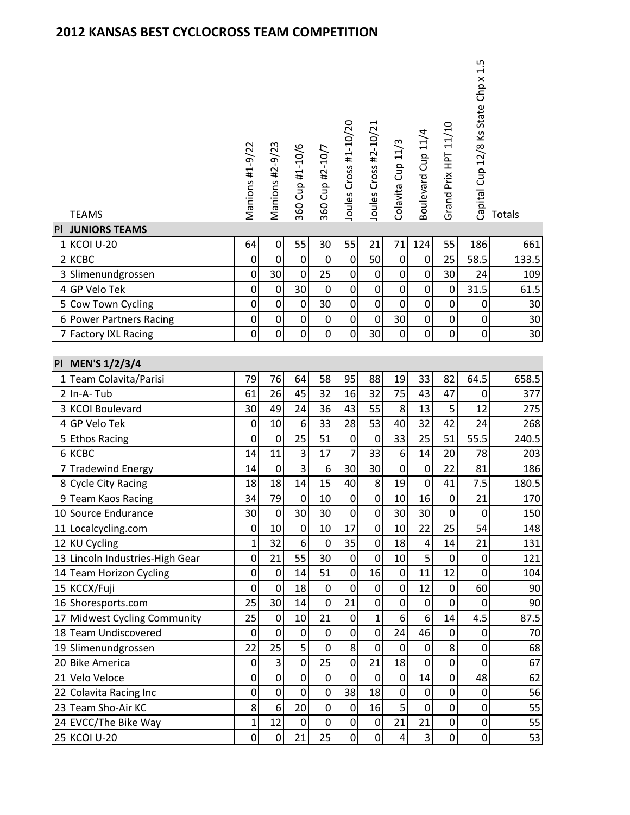| PI | <b>TEAMS</b><br><b>JUNIORS TEAMS</b> | Manions #1-9/22  | Manions #2-9/23  | 360 Cup #1-10/6         | 360 Cup #2-10/7  | Joules Cross #1-10/20 | Joules Cross #2-10/21 | Colavita Cup 11/3 | Boulevard Cup 11/4 | Grand Prix HPT 11/10 | 1.5<br>Capital Cup 12/8 Ks State Chp x | Totals |
|----|--------------------------------------|------------------|------------------|-------------------------|------------------|-----------------------|-----------------------|-------------------|--------------------|----------------------|----------------------------------------|--------|
|    | 1 KCOI U-20                          | 64               | $\pmb{0}$        | 55                      | 30               | 55                    | 21                    | 71                | 124                | 55                   | 186                                    | 661    |
|    | 2 KCBC                               | 0                | $\pmb{0}$        | $\pmb{0}$               | $\pmb{0}$        | $\mathbf 0$           | 50                    | $\boldsymbol{0}$  | 0                  | 25                   | 58.5                                   | 133.5  |
|    | 3 Slimenundgrossen                   | $\boldsymbol{0}$ | 30               | $\boldsymbol{0}$        | 25               | $\pmb{0}$             | $\pmb{0}$             | $\boldsymbol{0}$  | $\boldsymbol{0}$   | 30                   | 24                                     | 109    |
|    | 4 GP Velo Tek                        | 0                | $\pmb{0}$        | 30                      | $\pmb{0}$        | $\boldsymbol{0}$      | $\boldsymbol{0}$      | $\pmb{0}$         | $\boldsymbol{0}$   | $\pmb{0}$            | 31.5                                   | 61.5   |
|    | 5 Cow Town Cycling                   | $\boldsymbol{0}$ | $\boldsymbol{0}$ | $\pmb{0}$               | 30               | $\pmb{0}$             | $\pmb{0}$             | $\mathbf 0$       | $\boldsymbol{0}$   | 0                    | $\boldsymbol{0}$                       | 30     |
|    | 6 Power Partners Racing              | 0                | 0                | $\pmb{0}$               | $\pmb{0}$        | $\boldsymbol{0}$      | $\mathbf 0$           | 30                | 0                  | 0                    | 0                                      | 30     |
|    | 7 Factory IXL Racing                 | $\boldsymbol{0}$ | $\pmb{0}$        | $\boldsymbol{0}$        | $\overline{0}$   | $\pmb{0}$             | 30                    | 0                 | 0                  | 0                    | 0                                      | 30     |
| PI | <b>MEN'S 1/2/3/4</b>                 |                  |                  |                         |                  |                       |                       |                   |                    |                      |                                        |        |
|    | 1 Team Colavita/Parisi               | 79               | 76               | 64                      | 58               | 95                    | 88                    | 19                | 33                 | 82                   | 64.5                                   | 658.5  |
|    | 2 In-A-Tub                           | 61               | 26               | 45                      | 32               | 16                    | 32                    | 75                | 43                 | 47                   | 0                                      | 377    |
|    | 3 KCOI Boulevard                     | 30               | 49               | 24                      | 36               | 43                    | 55                    | 8                 | 13                 | 5                    | 12                                     | 275    |
|    | 4 GP Velo Tek                        | $\boldsymbol{0}$ | 10               | $\boldsymbol{6}$        | 33               | 28                    | 53                    | 40                | 32                 | 42                   | 24                                     | 268    |
|    | 5 Ethos Racing                       | $\mathbf 0$      | $\pmb{0}$        | 25                      | 51               | $\mathbf 0$           | $\mathbf 0$           | 33                | 25                 | $\overline{51}$      | 55.5                                   | 240.5  |
|    | 6 KCBC                               | 14               | 11               | 3                       | 17               | $\overline{7}$        | 33                    | $\boldsymbol{6}$  | 14                 | 20                   | 78                                     | 203    |
|    | 7 Tradewind Energy                   | 14               | $\pmb{0}$        | $\overline{\mathbf{3}}$ | $\boldsymbol{6}$ | 30                    | 30                    | $\boldsymbol{0}$  | 0                  | 22                   | 81                                     | 186    |
|    | 8 Cycle City Racing                  | 18               | 18               | 14                      | 15               | 40                    | 8                     | 19                | 0                  | 41                   | 7.5                                    | 180.5  |
|    | 9 Team Kaos Racing                   | 34               | 79               | $\boldsymbol{0}$        | $10\,$           | $\mathbf 0$           | 0                     | 10                | 16                 | $\mathbf 0$          | 21                                     | 170    |
|    | 10 Source Endurance                  | 30               | 0                | 30                      | 30               | $\overline{0}$        | 0                     | 30                | 30                 | 0                    | 0                                      | 150    |
|    | 11 Localcycling.com                  | $\mathbf 0$      | 10               | $\mathbf 0$             | 10               | 17                    | $\overline{0}$        | 10                | 22                 | 25                   | 54                                     | 148    |
|    | 12 KU Cycling                        | $\mathbf{1}$     | 32               | 6                       | $\pmb{0}$        | 35                    | 0                     | 18                | 4                  | 14                   | 21                                     | 131    |
|    | 13 Lincoln Industries-High Gear      | $\mathbf 0$      | 21               | 55                      | 30               | $\mathbf 0$           | $\mathbf 0$           | 10                | 5                  | $\mathbf 0$          | $\boldsymbol{0}$                       | 121    |
|    | 14 Team Horizon Cycling              | 0                | $\pmb{0}$        | 14                      | 51               | $\pmb{0}$             | 16                    | $\pmb{0}$         | 11                 | 12                   | 0                                      | 104    |
|    | 15 KCCX/Fuji                         | 0                | $\boldsymbol{0}$ | 18                      | $\boldsymbol{0}$ | $\mathbf 0$           | $\mathbf 0$           | $\boldsymbol{0}$  | 12                 | $\mathbf 0$          | 60                                     | 90     |
|    | 16 Shoresports.com                   | 25               | 30               | 14                      | $\boldsymbol{0}$ | 21                    | 0                     | $\mathbf 0$       | $\boldsymbol{0}$   | $\boldsymbol{0}$     | 0                                      | 90     |
|    | 17 Midwest Cycling Community         | 25               | $\boldsymbol{0}$ | 10                      | 21               | $\mathbf 0$           | 1                     | 6                 | 6                  | 14                   | 4.5                                    | 87.5   |
|    | 18 Team Undiscovered                 | $\mathbf 0$      | $\mathbf 0$      | $\boldsymbol{0}$        | $\mathbf 0$      | $\overline{0}$        | $\mathbf 0$           | 24                | 46                 | $\mathbf 0$          | $\boldsymbol{0}$                       | 70     |
|    | 19 Slimenundgrossen                  | 22               | 25               | 5                       | $\boldsymbol{0}$ | 8                     | $\mathbf 0$           | $\boldsymbol{0}$  | 0                  | 8                    | 0                                      | 68     |
|    | 20 Bike America                      | 0                | 3                | $\boldsymbol{0}$        | 25               | $\mathbf 0$           | 21                    | 18                | $\boldsymbol{0}$   | $\boldsymbol{0}$     | $\pmb{0}$                              | 67     |
|    | 21 Velo Veloce                       | 0                | $\pmb{0}$        | $\mathbf 0$             | $\mathbf 0$      | $\mathbf 0$           | $\mathbf 0$           | $\pmb{0}$         | 14                 | $\pmb{0}$            | 48                                     | 62     |
|    | 22 Colavita Racing Inc               | 0                | $\pmb{0}$        | $\mathbf 0$             | $\pmb{0}$        | 38                    | 18                    | 0                 | 0                  | $\mathbf 0$          | $\mathbf 0$                            | 56     |
|    | 23 Team Sho-Air KC                   | 8                | 6                | 20                      | $\mathbf 0$      | $\mathbf 0$           | 16                    | 5                 | $\mathbf 0$        | $\mathbf 0$          | $\pmb{0}$                              | 55     |
|    | 24 EVCC/The Bike Way                 | $\mathbf{1}$     | 12               | $\pmb{0}$               | $\mathbf 0$      | $\mathbf 0$           | 0                     | 21                | 21                 | 0                    | 0                                      | 55     |
|    | 25 KCOI U-20                         | $\boldsymbol{0}$ | $\boldsymbol{0}$ | 21                      | 25               | $\boldsymbol{0}$      | 0                     | 4                 | 3                  | 0                    | $\boldsymbol{0}$                       | 53     |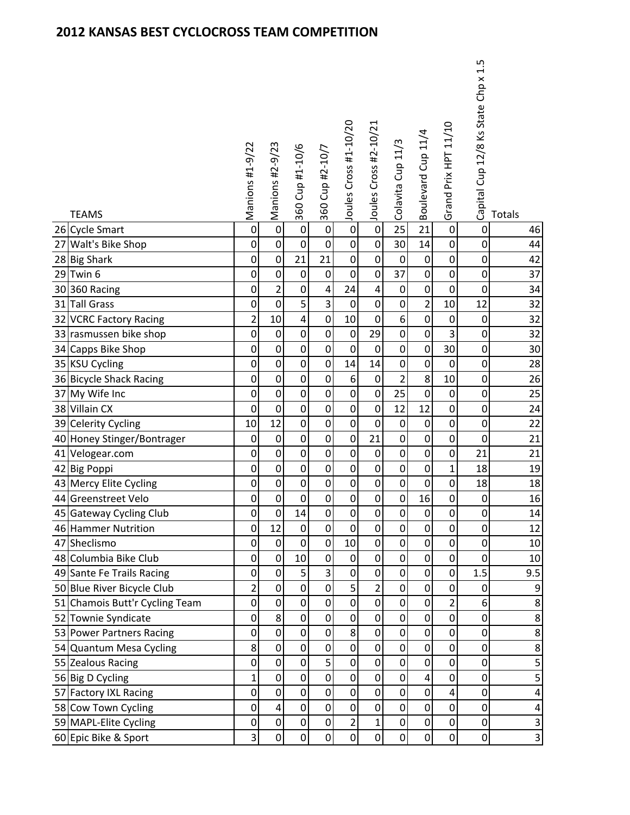| <b>TEAMS</b>                              | Manions #1-9/22  | Manions #2-9/23         | 360 Cup #1-10/6            | 360 Cup #2-10/7            | Joules Cross #1-10/20 | Joules Cross #2-10/21    | Colavita Cup 11/3 | Boulevard Cup 11/4                   | Grand Prix HPT 11/10    | Capital Cup 12/8 Ks State Chp x 1.5 | Totals                  |
|-------------------------------------------|------------------|-------------------------|----------------------------|----------------------------|-----------------------|--------------------------|-------------------|--------------------------------------|-------------------------|-------------------------------------|-------------------------|
| 26 Cycle Smart                            | $\overline{0}$   | $\overline{0}$          | $\overline{0}$             | $\mathbf 0$                | $\overline{0}$        | $\boldsymbol{0}$         | $\overline{25}$   | $\overline{21}$                      | $\boldsymbol{0}$        | $\pmb{0}$                           | 46                      |
| 27 Walt's Bike Shop                       | $\boldsymbol{0}$ | $\boldsymbol{0}$        | $\mathbf 0$                | $\pmb{0}$                  | $\pmb{0}$             | $\pmb{0}$                | 30                | 14                                   | $\pmb{0}$               | $\boldsymbol{0}$                    | 44                      |
| 28 Big Shark                              | 0                | $\boldsymbol{0}$        | 21                         | 21                         | 0                     | 0                        | $\mathbf 0$       | 0                                    | 0                       | 0                                   | 42                      |
| $29$ Twin 6                               | $\mathbf 0$      | $\pmb{0}$               | $\mathbf 0$                | $\boldsymbol{0}$           | $\mathbf 0$           | $\boldsymbol{0}$         | 37                | $\mathbf 0$                          | $\mathbf 0$             | $\boldsymbol{0}$                    | 37                      |
| 30 360 Racing                             | $\mathbf 0$      | $\overline{2}$          | $\boldsymbol{0}$           | $\pmb{4}$                  | 24                    | 4                        | $\pmb{0}$         | $\boldsymbol{0}$                     | $\pmb{0}$               | $\pmb{0}$                           | 34                      |
| 31 Tall Grass                             | $\mathbf 0$      | $\boldsymbol{0}$        | 5                          | $\overline{3}$             | $\boldsymbol{0}$      | $\pmb{0}$                | $\mathbf 0$       | $\overline{2}$                       | 10                      | 12                                  | 32                      |
| 32 VCRC Factory Racing                    | $\overline{2}$   | 10                      | $\overline{4}$             | $\pmb{0}$                  | 10                    | $\pmb{0}$                | 6                 | $\boldsymbol{0}$                     | $\pmb{0}$               | $\boldsymbol{0}$                    | 32                      |
| 33 rasmussen bike shop                    | 0                | $\pmb{0}$               | $\boldsymbol{0}$           | $\pmb{0}$                  | $\pmb{0}$             | 29                       | $\mathbf 0$       | $\boldsymbol{0}$                     | $\overline{\mathbf{3}}$ | $\mathbf 0$                         | 32                      |
| 34 Capps Bike Shop                        | $\mathbf 0$      | $\boldsymbol{0}$        | $\mathbf 0$                | $\boldsymbol{0}$           | $\pmb{0}$             | $\boldsymbol{0}$         | $\mathbf 0$       | $\boldsymbol{0}$                     | 30                      | $\boldsymbol{0}$                    | 30                      |
| 35 KSU Cycling                            | 0                | $\boldsymbol{0}$        | $\mathbf 0$                | $\mathbf 0$                | 14                    | 14                       | $\mathbf 0$       | $\boldsymbol{0}$                     | $\mathbf 0$             | $\boldsymbol{0}$                    | 28                      |
| 36 Bicycle Shack Racing                   | $\mathbf 0$      | $\boldsymbol{0}$        | $\mathbf 0$                | $\pmb{0}$                  | 6                     | $\boldsymbol{0}$         | $\overline{c}$    | 8                                    | 10                      | $\boldsymbol{0}$                    | 26                      |
| 37 My Wife Inc                            | $\boldsymbol{0}$ | $\pmb{0}$               | $\boldsymbol{0}$           | $\pmb{0}$                  | $\pmb{0}$             | $\pmb{0}$                | 25                | $\boldsymbol{0}$                     | 0                       | $\boldsymbol{0}$                    | 25                      |
| 38 Villain CX                             | $\mathbf 0$      | $\boldsymbol{0}$        | $\boldsymbol{0}$           | $\boldsymbol{0}$           | $\pmb{0}$             | $\pmb{0}$                | 12                | 12                                   | $\pmb{0}$               | $\pmb{0}$                           | 24                      |
| 39 Celerity Cycling                       | 10               | 12                      | $\mathbf 0$                | $\mathbf 0$                | $\mathbf 0$           | $\boldsymbol{0}$         | $\pmb{0}$         | $\boldsymbol{0}$                     | $\pmb{0}$               | $\pmb{0}$                           | 22                      |
| 40 Honey Stinger/Bontrager                | $\mathbf 0$      | $\boldsymbol{0}$        | $\mathbf 0$                | $\pmb{0}$                  | $\boldsymbol{0}$      | 21                       | $\boldsymbol{0}$  | 0                                    | 0                       | $\pmb{0}$                           | 21                      |
| 41 Velogear.com                           | $\mathbf 0$      | $\mathbf 0$             | $\mathbf 0$                | $\pmb{0}$                  | $\boldsymbol{0}$      | $\boldsymbol{0}$         | $\mathbf 0$       | $\boldsymbol{0}$                     | 0                       | 21                                  | 21                      |
| 42 Big Poppi                              | 0                | $\boldsymbol{0}$        | $\mathbf 0$                | $\pmb{0}$                  | $\boldsymbol{0}$      | $\pmb{0}$                | $\boldsymbol{0}$  | $\boldsymbol{0}$                     | $\mathbf 1$             | 18                                  | 19                      |
| 43 Mercy Elite Cycling                    | $\boldsymbol{0}$ | $\boldsymbol{0}$        | $\mathbf 0$                | $\boldsymbol{0}$           | $\boldsymbol{0}$      | $\pmb{0}$                | $\pmb{0}$         | $\boldsymbol{0}$                     | $\boldsymbol{0}$        | 18                                  | 18                      |
| 44 Greenstreet Velo                       | $\boldsymbol{0}$ | $\pmb{0}$               | $\mathbf 0$                | $\pmb{0}$                  | $\pmb{0}$             | 0                        | $\pmb{0}$         | 16                                   | 0                       | $\pmb{0}$                           | 16                      |
| 45 Gateway Cycling Club                   | 0                | $\mathbf 0$             | 14                         | $\mathbf 0$                | $\mathbf 0$           | $\boldsymbol{0}$         | $\boldsymbol{0}$  | $\boldsymbol{0}$                     | 0                       | $\pmb{0}$                           | $14\,$                  |
| 46 Hammer Nutrition                       | 0                | 12                      | $\pmb{0}$                  | $\pmb{0}$                  | $\overline{0}$        | $\pmb{0}$                | $\pmb{0}$         | 0                                    | $\mathbf 0$             | $\boldsymbol{0}$                    | 12                      |
| 47 Sheclismo                              | 0                | $\mathbf 0$             | $\mathbf 0$                | $\mathbf 0$                | 10                    | $\mathbf 0$              | 0                 | 0                                    | 0                       | 0                                   | 10                      |
| 48 Columbia Bike Club                     | $\mathbf 0$      | $\mathbf 0$             | 10                         | $\mathbf 0$                | $\boldsymbol{0}$      | $\pmb{0}$                | $\mathbf 0$       | $\mathbf 0$                          | 0                       | $\mathbf 0$                         | $10\,$                  |
| 49 Sante Fe Trails Racing                 | $\mathbf 0$      | $\pmb{0}$               | 5                          | $\overline{3}$             | $\boldsymbol{0}$      | $\pmb{0}$                | $\boldsymbol{0}$  | $\boldsymbol{0}$                     | 0                       | 1.5                                 | 9.5                     |
| 50 Blue River Bicycle Club                | $\overline{2}$   | $\boldsymbol{0}$        | $\mathbf 0$                | $\pmb{0}$                  | 5                     | $\overline{2}$           | $\pmb{0}$         | $\boldsymbol{0}$                     | 0                       | $\mathbf 0$                         | 9                       |
| 51 Chamois Butt'r Cycling Team            | $\mathbf 0$      | $\overline{0}$          | $\mathbf 0$                | $\mathbf 0$                | $\mathbf 0$           | $\pmb{0}$                | $\pmb{0}$         | $\boldsymbol{0}$                     | $\overline{2}$          | 6                                   | 8                       |
| 52 Townie Syndicate                       | 0                | 8<br>$\overline{0}$     | $\mathbf 0$                | $\pmb{0}$                  | $\boldsymbol{0}$      | 0                        | $\mathbf 0$       | 0                                    | 0                       | $\boldsymbol{0}$                    | 8                       |
| 53 Power Partners Racing                  | $\mathbf 0$<br>8 | $\boldsymbol{0}$        | $\mathbf 0$<br>$\mathbf 0$ | $\mathbf 0$<br>$\mathbf 0$ | 8<br>$\boldsymbol{0}$ | $\mathbf 0$<br>$\pmb{0}$ | $\pmb{0}$<br>0    | $\boldsymbol{0}$<br>$\boldsymbol{0}$ | $\mathbf 0$<br>0        | $\boldsymbol{0}$                    | 8                       |
| 54 Quantum Mesa Cycling                   | $\mathbf 0$      | $\pmb{0}$               | $\mathbf 0$                | $\overline{5}$             | $\boldsymbol{0}$      | $\pmb{0}$                | $\mathbf 0$       | $\mathbf 0$                          | $\mathbf 0$             | 0                                   | $\bf 8$                 |
| 55 Zealous Racing                         | $\overline{1}$   | $\pmb{0}$               | $\mathbf 0$                | $\boldsymbol{0}$           | $\pmb{0}$             | 0                        | $\pmb{0}$         | 4                                    | 0                       | $\mathbf 0$<br>$\boldsymbol{0}$     | 5<br>5                  |
| 56 Big D Cycling<br>57 Factory IXL Racing | $\mathbf 0$      | $\mathbf 0$             | $\mathbf 0$                | $\boldsymbol{0}$           | $\boldsymbol{0}$      | $\pmb{0}$                | $\pmb{0}$         | $\boldsymbol{0}$                     | 4                       | $\mathbf 0$                         | 4                       |
| 58 Cow Town Cycling                       | $\mathbf 0$      | $\overline{\mathbf{4}}$ | $\mathbf 0$                | $\mathbf 0$                | $\mathbf 0$           | $\mathbf 0$              | $\pmb{0}$         | $\mathbf 0$                          | $\overline{0}$          | $\boldsymbol{0}$                    | 4                       |
| 59 MAPL-Elite Cycling                     | $\boldsymbol{0}$ | $\pmb{0}$               | $\boldsymbol{0}$           | $\pmb{0}$                  | $\overline{2}$        | 1                        | $\pmb{0}$         | 0                                    | 0                       | 0                                   | 3                       |
| 60 Epic Bike & Sport                      | 3                | $\mathbf 0$             | $\mathbf 0$                | $\mathbf 0$                | $\mathbf 0$           | $\pmb{0}$                | $\mathbf 0$       | $\mathbf 0$                          | $\mathbf 0$             | $\pmb{0}$                           | $\overline{\mathbf{3}}$ |
|                                           |                  |                         |                            |                            |                       |                          |                   |                                      |                         |                                     |                         |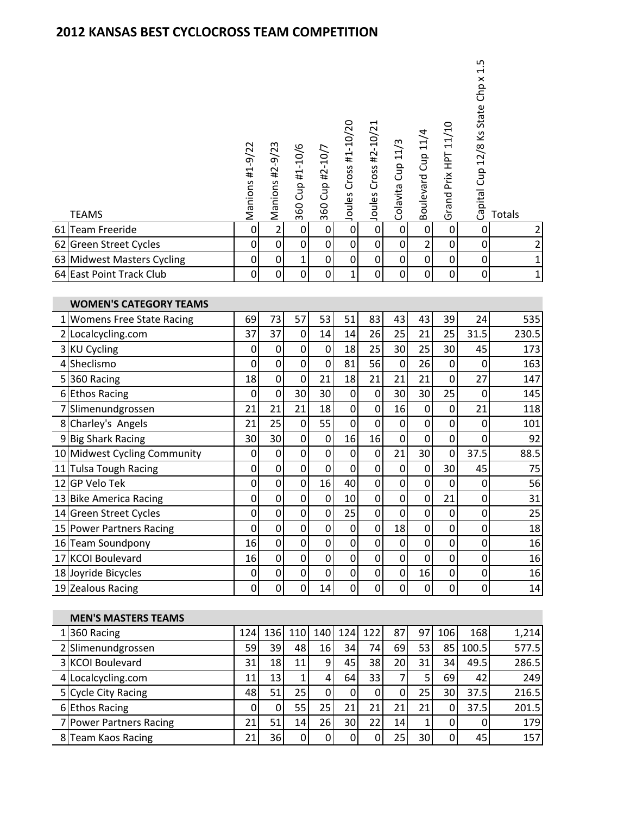|                | <b>TEAMS</b>                  | Manions #1-9/22  | Manions #2-9/23  | 360 Cup #1-10/6  | 360 Cup #2-10/7  | Joules Cross #1-10/20 | Joules Cross #2-10/21 | Colavita Cup 11/3 | Boulevard Cup 11/4 | Grand Prix HPT 11/10 | 1.5<br>Capital Cup 12/8 Ks State Chp x | Totals         |
|----------------|-------------------------------|------------------|------------------|------------------|------------------|-----------------------|-----------------------|-------------------|--------------------|----------------------|----------------------------------------|----------------|
| 61             | Team Freeride                 | $\overline{0}$   |                  | $\pmb{0}$        | $\mathbf 0$      | $\overline{0}$        | $\overline{0}$        | $\pmb{0}$         | $\pmb{0}$          | $\boldsymbol{0}$     | $\pmb{0}$                              | $\overline{2}$ |
|                | 62 Green Street Cycles        | $\boldsymbol{0}$ | $\pmb{0}$        | $\mathbf 0$      | $\mathbf 0$      | $\pmb{0}$             | $\boldsymbol{0}$      | $\boldsymbol{0}$  | $\overline{2}$     | $\mathbf 0$          | $\mathbf 0$                            | $\mathbf 2$    |
|                | 63 Midwest Masters Cycling    | $\mathbf 0$      | $\pmb{0}$        | $\mathbf 1$      | $\pmb{0}$        | $\boldsymbol{0}$      | $\boldsymbol{0}$      | $\mathbf 0$       | $\boldsymbol{0}$   | 0                    | $\mathbf 0$                            | $\mathbf{1}$   |
|                | 64 East Point Track Club      | $\mathbf 0$      | $\mathbf 0$      | $\overline{0}$   | o                | $\mathbf{1}$          | $\mathbf 0$           | $\overline{0}$    | $\overline{0}$     | 0                    | $\mathbf 0$                            | $\mathbf{1}$   |
|                | <b>WOMEN'S CATEGORY TEAMS</b> |                  |                  |                  |                  |                       |                       |                   |                    |                      |                                        |                |
|                | 1 Womens Free State Racing    | 69               | 73               | 57               | 53               | 51                    | 83                    | 43                | 43                 | 39                   | 24                                     | 535            |
|                | 2 Localcycling.com            | 37               | 37               | $\mathbf 0$      | 14               | 14                    | 26                    | 25                | 21                 | 25                   | 31.5                                   | 230.5          |
|                | 3 KU Cycling                  | $\mathbf 0$      | $\pmb{0}$        | $\pmb{0}$        | $\pmb{0}$        | 18                    | 25                    | 30                | 25                 | 30                   | 45                                     | 173            |
| $\overline{4}$ | Sheclismo                     | $\mathbf 0$      | $\boldsymbol{0}$ | $\pmb{0}$        | $\boldsymbol{0}$ | 81                    | 56                    | $\mathbf 0$       | 26                 | $\mathbf 0$          | 0                                      | 163            |
|                | 5360 Racing                   | 18               | $\boldsymbol{0}$ | $\mathbf 0$      | 21               | 18                    | 21                    | 21                | 21                 | $\mathbf 0$          | 27                                     | 147            |
|                | 6 Ethos Racing                | $\boldsymbol{0}$ | $\pmb{0}$        | 30               | 30               | $\boldsymbol{0}$      | 0                     | 30                | 30                 | 25                   | $\mathbf 0$                            | 145            |
|                | 7 Slimenundgrossen            | 21               | 21               | 21               | 18               | $\boldsymbol{0}$      | $\boldsymbol{0}$      | 16                | 0                  | $\pmb{0}$            | 21                                     | 118            |
|                | 8 Charley's Angels            | 21               | 25               | $\pmb{0}$        | 55               | $\mathbf 0$           | $\mathbf 0$           | $\boldsymbol{0}$  | $\boldsymbol{0}$   | 0                    | $\boldsymbol{0}$                       | 101            |
|                | 9 Big Shark Racing            | 30               | 30               | $\pmb{0}$        | 0                | 16                    | 16                    | $\mathbf 0$       | 0                  | $\pmb{0}$            | 0                                      | 92             |
|                | 10 Midwest Cycling Community  | $\mathbf 0$      | $\boldsymbol{0}$ | $\mathbf 0$      | $\pmb{0}$        | $\mathbf 0$           | $\boldsymbol{0}$      | 21                | 30                 | $\pmb{0}$            | 37.5                                   | 88.5           |
|                | 11 Tulsa Tough Racing         | $\boldsymbol{0}$ | $\pmb{0}$        | $\boldsymbol{0}$ | $\mathbf 0$      | $\boldsymbol{0}$      | 0                     | $\mathbf 0$       | 0                  | 30                   | 45                                     | 75             |
|                | 12 GP Velo Tek                | $\mathbf 0$      | $\pmb{0}$        | $\boldsymbol{0}$ | 16               | 40                    | $\boldsymbol{0}$      | $\boldsymbol{0}$  | $\boldsymbol{0}$   | $\mathbf 0$          | $\pmb{0}$                              | 56             |
|                | 13 Bike America Racing        | $\boldsymbol{0}$ | $\pmb{0}$        | $\pmb{0}$        | 0                | 10                    | 0                     | $\pmb{0}$         | 0                  | 21                   | $\pmb{0}$                              | 31             |
|                | 14 Green Street Cycles        | $\overline{0}$   | $\overline{0}$   | $\overline{0}$   | $\overline{0}$   | 25                    | $\overline{0}$        | $\overline{0}$    | $\overline{0}$     | $\overline{0}$       | $\overline{0}$                         | 25             |
|                | 15 Power Partners Racing      | $\mathbf 0$      | $\boldsymbol{0}$ | $\mathbf 0$      | $\mathbf 0$      | $\boldsymbol{0}$      | $\mathbf 0$           | 18                | 0                  | 0                    | $\overline{0}$                         | 18             |
|                | 16 Team Soundpony             | 16               | $\pmb{0}$        | $\pmb{0}$        | $\pmb{0}$        | $\boldsymbol{0}$      | 0                     | $\boldsymbol{0}$  | 0                  | 0                    | $\mathbf 0$                            | 16             |
|                | 17 KCOI Boulevard             | 16               | $\pmb{0}$        | $\mathbf 0$      | $\mathbf 0$      | $\boldsymbol{0}$      | 0                     | $\mathbf 0$       | $\mathbf 0$        | $\boldsymbol{0}$     | $\pmb{0}$                              | 16             |
|                | 18 Joyride Bicycles           | $\pmb{0}$        | $\pmb{0}$        | $\boldsymbol{0}$ | $\mathbf 0$      | $\mathbf 0$           | $\pmb{0}$             | $\pmb{0}$         | 16                 | $\boldsymbol{0}$     | $\pmb{0}$                              | 16             |
|                | 19 Zealous Racing             | $\mathbf 0$      | $\mathbf 0$      | $\mathbf 0$      | 14               | $\overline{0}$        | 0                     | 0                 | $\mathbf 0$        | $\mathbf 0$          | $\pmb{0}$                              | $14\,$         |
|                |                               |                  |                  |                  |                  |                       |                       |                   |                    |                      |                                        |                |

| <b>MEN'S MASTERS TEAMS</b> |                 |                 |                  |               |     |     |    |    |     |       |       |
|----------------------------|-----------------|-----------------|------------------|---------------|-----|-----|----|----|-----|-------|-------|
| $1 360$ Racing             | 124             | 136             | 110 <sup>I</sup> | 140 l         | 124 | 122 | 87 | 97 | 106 | 168   | 1,214 |
| 2 Slimenundgrossen         | 59              | 39              | 48               | <b>16</b>     | 34  | 74  | 69 | 53 | 85  | 100.5 | 577.5 |
| 3 KCOI Boulevard           | 31              | 18 <sub>l</sub> | 11 <sub>1</sub>  | 91            | 45  | 381 | 20 | 31 | 34  | 49.5  | 286.5 |
| 4 Localcycling.com         | 11 <sub>1</sub> | 13 <sub>1</sub> |                  | $\frac{4}{3}$ | 64  | 33  |    |    | 69  | 42    | 249   |
| 5 Cycle City Racing        | 48              | 51              | 25 <sub>l</sub>  | O             | 0   | O   |    | 25 | 30  | 37.5  | 216.5 |
| 6 Ethos Racing             |                 |                 | 551              | 25            |     |     | 21 | 21 |     | 37.5  | 201.5 |
| 7 Power Partners Racing    | 21I             | 51              | 14               | 26            | 30  | 22  | 14 |    |     |       | 179   |
| 8 Team Kaos Racing         | 211             | 36              | 0                | OI            | 0   |     | 25 | 30 |     | 45    | 157   |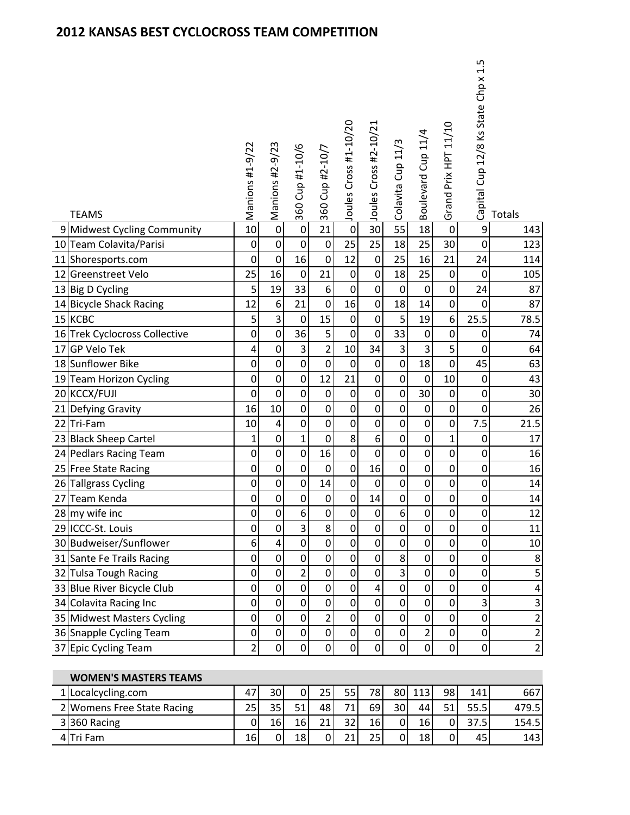| <b>TEAMS</b>                                | Manions #1-9/22       | Manions #2-9/23  | 360 Cup #1-10/6       | 360 Cup #2-10/7                 | Joules Cross #1-10/20         | Joules Cross #2-10/21              | Colavita Cup 11/3          | Boulevard Cup 11/4              | Grand Prix HPT 11/10 | Capital Cup 12/8 Ks State Chp x 1.5 | Totals         |
|---------------------------------------------|-----------------------|------------------|-----------------------|---------------------------------|-------------------------------|------------------------------------|----------------------------|---------------------------------|----------------------|-------------------------------------|----------------|
| 9 Midwest Cycling Community                 | 10                    | $\pmb{0}$        | $\boldsymbol{0}$      | 21                              | $\mathbf 0$                   | 30                                 | 55                         | 18                              | $\mathbf 0$          | $\boldsymbol{9}$                    | 143            |
| 10 Team Colavita/Parisi                     | $\boldsymbol{0}$      | $\pmb{0}$        | $\boldsymbol{0}$      | $\pmb{0}$                       | 25                            | 25                                 | 18                         | 25                              | 30                   | $\boldsymbol{0}$                    | 123            |
| 11 Shoresports.com                          | $\mathbf 0$           | $\pmb{0}$        | 16                    | $\mathbf 0$                     | 12                            | $\mathbf 0$                        | 25                         | 16                              | 21                   | 24                                  | 114            |
| 12 Greenstreet Velo                         | 25                    | 16               | $\mathbf 0$           | 21                              | $\boldsymbol{0}$              | $\boldsymbol{0}$                   | 18                         | 25                              | $\boldsymbol{0}$     | $\mathbf 0$                         | 105            |
| 13 Big D Cycling                            | 5                     | 19               | 33                    | 6                               | $\mathbf 0$                   | $\boldsymbol{0}$                   | $\boldsymbol{0}$           | $\mathbf 0$                     | $\boldsymbol{0}$     | 24                                  | 87             |
| 14 Bicycle Shack Racing                     | 12                    | $\boldsymbol{6}$ | 21                    | $\mathbf 0$                     | 16                            | $\mathbf 0$                        | 18                         | 14                              | $\boldsymbol{0}$     | $\boldsymbol{0}$                    | 87             |
| 15 KCBC                                     | 5                     | $\overline{3}$   | $\boldsymbol{0}$      | 15                              | $\boldsymbol{0}$              | $\mathbf 0$                        | $\overline{5}$             | 19                              | 6                    | 25.5                                | 78.5           |
| 16 Trek Cyclocross Collective               | $\mathbf 0$           | $\pmb{0}$        | 36                    | 5                               | $\boldsymbol{0}$              | $\mathbf 0$                        | 33                         | $\mathbf 0$                     | 0                    | 0                                   | 74             |
| 17 GP Velo Tek                              | $\overline{a}$        | $\boldsymbol{0}$ | 3                     | $\overline{2}$                  | 10                            | 34                                 | $\overline{\mathbf{3}}$    | 3                               | 5                    | $\boldsymbol{0}$                    | 64             |
| 18 Sunflower Bike                           | $\mathbf 0$           | $\pmb{0}$        | $\boldsymbol{0}$      | $\boldsymbol{0}$                | $\pmb{0}$                     | $\mathbf 0$                        | $\mathbf 0$                | 18                              | $\mathbf 0$          | 45                                  | 63             |
| 19 Team Horizon Cycling                     | $\boldsymbol{0}$      | $\pmb{0}$        | $\boldsymbol{0}$      | 12                              | 21                            | $\boldsymbol{0}$                   | $\boldsymbol{0}$           | $\mathbf 0$                     | 10                   | $\pmb{0}$                           | 43             |
| 20 KCCX/FUJI                                | $\boldsymbol{0}$      | $\pmb{0}$        | $\pmb{0}$             | $\boldsymbol{0}$                | $\pmb{0}$                     | $\mathbf 0$                        | $\mathbf 0$                | 30                              | 0                    | 0                                   | 30             |
| 21 Defying Gravity                          | 16                    | 10               | $\boldsymbol{0}$      | $\boldsymbol{0}$                | $\mathbf 0$                   | $\mathbf 0$                        | $\boldsymbol{0}$           | $\boldsymbol{0}$                | $\mathbf 0$          | 0                                   | 26             |
| 22 Tri-Fam                                  | 10                    | 4                | $\pmb{0}$             | $\mathbf 0$                     | $\mathbf 0$                   | $\boldsymbol{0}$                   | 0                          | $\mathbf 0$                     | 0                    | 7.5                                 | 21.5           |
| 23 Black Sheep Cartel                       | 1                     | 0                | 1                     | $\boldsymbol{0}$                | 8<br>$\overline{\mathsf{o}}$  | 6                                  | 0                          | $\mathbf 0$                     | 1                    | 0                                   | 17             |
| 24 Pedlars Racing Team                      | $\mathbf 0$           | $\boldsymbol{0}$ | $\boldsymbol{0}$      | 16                              |                               | $\overline{0}$                     | $\mathbf 0$                | $\mathbf 0$                     | $\mathbf 0$          | $\mathbf 0$                         | 16             |
| 25 Free State Racing                        | $\boldsymbol{0}$      | $\pmb{0}$        | $\pmb{0}$             | $\boldsymbol{0}$                | $\mathbf 0$                   | 16                                 | $\mathbf 0$                | $\mathbf 0$                     | 0                    | $\pmb{0}$                           | 16             |
| 26 Tallgrass Cycling                        | $\mathbf 0$           | $\pmb{0}$        | $\boldsymbol{0}$      | 14                              | $\boldsymbol{0}$              | $\mathbf 0$                        | 0                          | $\mathbf 0$                     | 0                    | $\pmb{0}$                           | 14             |
| 27 Team Kenda                               | $\boldsymbol{0}$      | $\pmb{0}$        | $\boldsymbol{0}$<br>6 | $\boldsymbol{0}$<br>$\mathbf 0$ | $\pmb{0}$<br>$\boldsymbol{0}$ | 14                                 | 0<br>6                     | $\boldsymbol{0}$<br>$\mathbf 0$ | 0<br>0               | $\boldsymbol{0}$<br>0               | 14             |
| 28 my wife inc                              | 0                     | $\boldsymbol{0}$ |                       |                                 |                               | $\mathbf 0$                        |                            |                                 |                      |                                     | 12             |
| 29 ICCC-St. Louis<br>30 Budweiser/Sunflower | $\boldsymbol{0}$<br>6 | $\pmb{0}$<br>4   | 3<br>$\overline{0}$   | 8<br>$\overline{0}$             | $\overline{0}$<br>$\mathbf 0$ | $\boldsymbol{0}$<br>$\overline{0}$ | $\mathbf 0$<br>$\mathbf 0$ | 0<br>$\mathbf 0$                | 0<br>$\mathbf 0$     | 0<br>0                              | 11<br>10       |
| 31 Sante Fe Trails Racing                   | $\mathbf 0$           | $\pmb{0}$        | $\mathbf 0$           | $\mathbf 0$                     | $\mathbf 0$                   | $\mathbf 0$                        | 8                          | $\mathbf 0$                     | $\mathbf 0$          | 0                                   | 8              |
| 32 Tulsa Tough Racing                       | $\pmb{0}$             | $\pmb{0}$        | 2                     | $\boldsymbol{0}$                | $\mathbf 0$                   | $\boldsymbol{0}$                   | 3                          | $\mathbf 0$                     | 0                    | 0                                   | 5              |
| 33 Blue River Bicycle Club                  | $\boldsymbol{0}$      | $\pmb{0}$        | $\boldsymbol{0}$      | $\boldsymbol{0}$                | $\mathbf 0$                   | $\overline{4}$                     | $\mathbf 0$                | $\mathbf 0$                     | 0                    | $\boldsymbol{0}$                    | 4              |
| 34 Colavita Racing Inc                      | $\mathbf 0$           | $\mathbf 0$      | $\boldsymbol{0}$      | $\mathbf 0$                     | $\mathbf 0$                   | $\mathbf 0$                        | 0                          | $\mathbf 0$                     | $\mathbf 0$          | 3                                   | 3              |
| 35 Midwest Masters Cycling                  | 0                     | 0                | 0                     | $\overline{2}$                  | $\mathbf 0$                   | $\mathbf 0$                        | 0                          | 0                               | 0                    | 0                                   | $\overline{c}$ |
| 36 Snapple Cycling Team                     | $\boldsymbol{0}$      | $\mathbf 0$      | $\boldsymbol{0}$      | $\mathbf 0$                     | $\mathbf 0$                   | $\boldsymbol{0}$                   | $\mathbf 0$                | $\overline{2}$                  | $\mathbf 0$          | $\boldsymbol{0}$                    | $\overline{c}$ |
| 37 Epic Cycling Team                        | $\overline{2}$        | $\boldsymbol{0}$ | $\boldsymbol{0}$      | $\boldsymbol{0}$                | $\overline{0}$                | $\pmb{0}$                          | $\mathbf 0$                | $\mathbf 0$                     | 0                    | $\pmb{0}$                           | $\overline{c}$ |
|                                             |                       |                  |                       |                                 |                               |                                    |                            |                                 |                      |                                     |                |

WOMEN'S MASTERS TEAMS

| 1 Localcycling.com         | 47 | 30 | 01 | 25 | 55  | 78I | 80I |    | 98 | 141  | 667   |
|----------------------------|----|----|----|----|-----|-----|-----|----|----|------|-------|
| 2 Womens Free State Racing | 25 |    |    | 48 | 71. | 69  | 30  | 44 | 51 | 55.5 | 479.5 |
| 3 360 Racing               |    | 16 | 16 | 71 | 32  | 16  | 01  | 16 |    |      | 154.5 |
| 4Tri Fam                   | 16 | 01 | 18 | 0  | 21. | 25  | 01  | 18 |    | 45   | 143   |